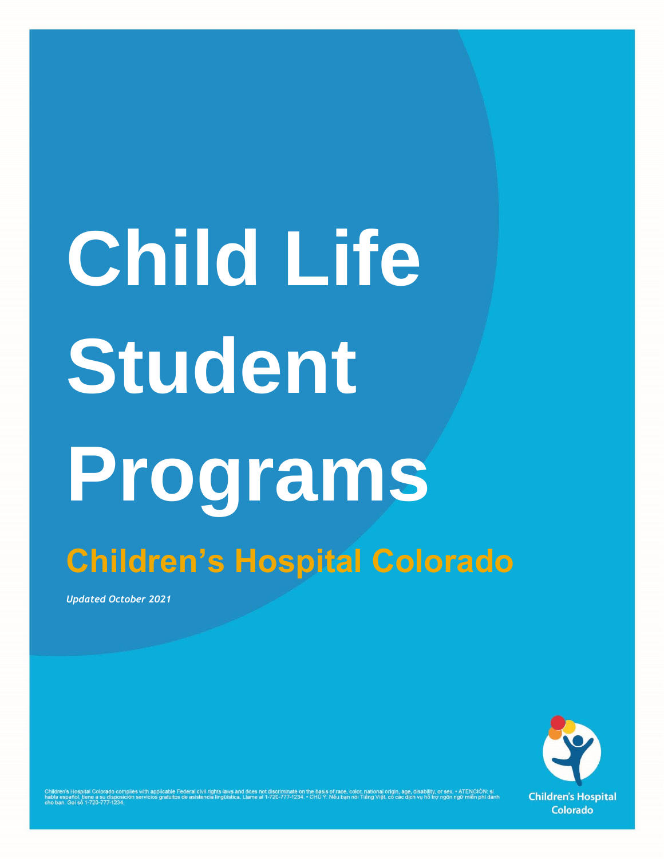# **Child Life Student Programs Children's Hospital Colorado**

*Updated October 2021*



la español, tiene a su disposi<br>ban. Goi só 1-720-777-1234.

the basis of race, color, national origin, age, disability, or sex. • All ENCTON: Si<br>• CHÚ Ý: Nếu ban nói Tiếng Việt, có các dịch vu hỗ trợ ngôn ngữ miễn phi dành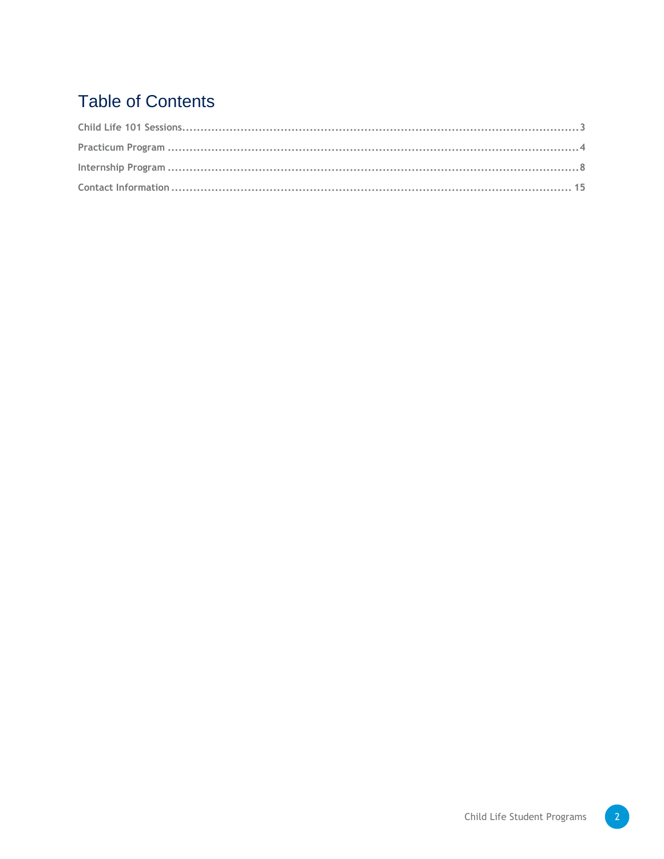# **Table of Contents**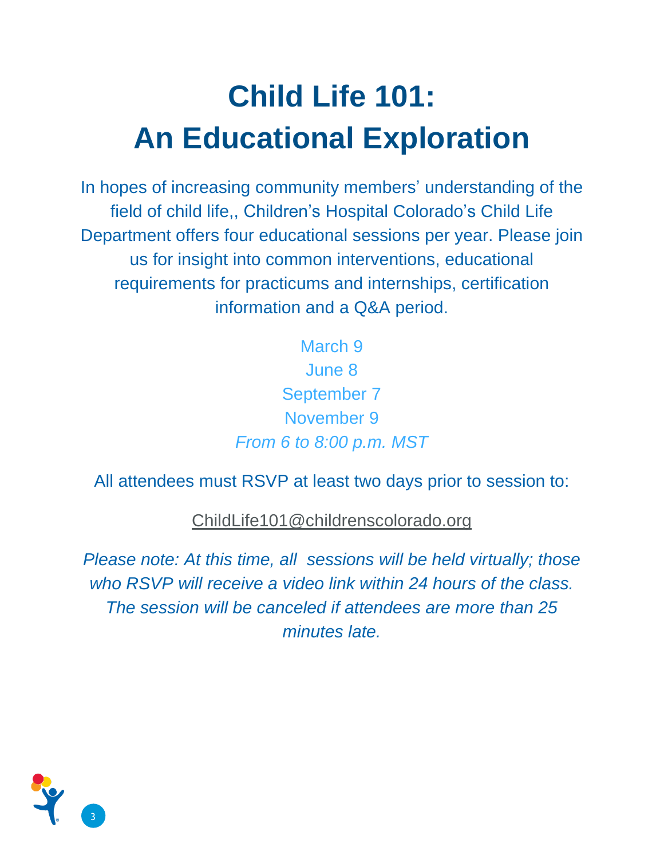# **Child Life 101: An Educational Exploration**

In hopes of increasing community members' understanding of the field of child life,, Children's Hospital Colorado's Child Life Department offers four educational sessions per year. Please join us for insight into common interventions, educational requirements for practicums and internships, certification information and a Q&A period.

> March 9 June 8 September 7 November 9 *From 6 to 8:00 p.m. MST*

All attendees must RSVP at least two days prior to session to:

[ChildLife101@childrenscolorado.org](mailto:ChildLife101@childrenscolorado.org)

*Please note: At this time, all sessions will be held virtually; those who RSVP will receive a video link within 24 hours of the class. The session will be canceled if attendees are more than 25 minutes late.*

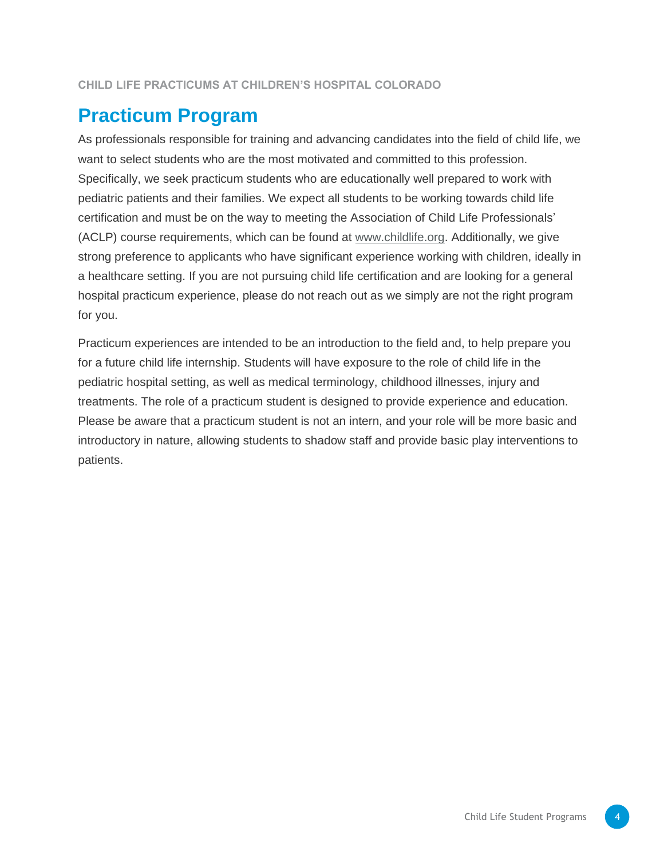### **Practicum Program**

As professionals responsible for training and advancing candidates into the field of child life, we want to select students who are the most motivated and committed to this profession. Specifically, we seek practicum students who are educationally well prepared to work with pediatric patients and their families. We expect all students to be working towards child life certification and must be on the way to meeting the Association of Child Life Professionals' (ACLP) course requirements, which can be found at [www.childlife.org.](http://www.childlife.org/) Additionally, we give strong preference to applicants who have significant experience working with children, ideally in a healthcare setting. If you are not pursuing child life certification and are looking for a general hospital practicum experience, please do not reach out as we simply are not the right program for you.

Practicum experiences are intended to be an introduction to the field and, to help prepare you for a future child life internship. Students will have exposure to the role of child life in the pediatric hospital setting, as well as medical terminology, childhood illnesses, injury and treatments. The role of a practicum student is designed to provide experience and education. Please be aware that a practicum student is not an intern, and your role will be more basic and introductory in nature, allowing students to shadow staff and provide basic play interventions to patients.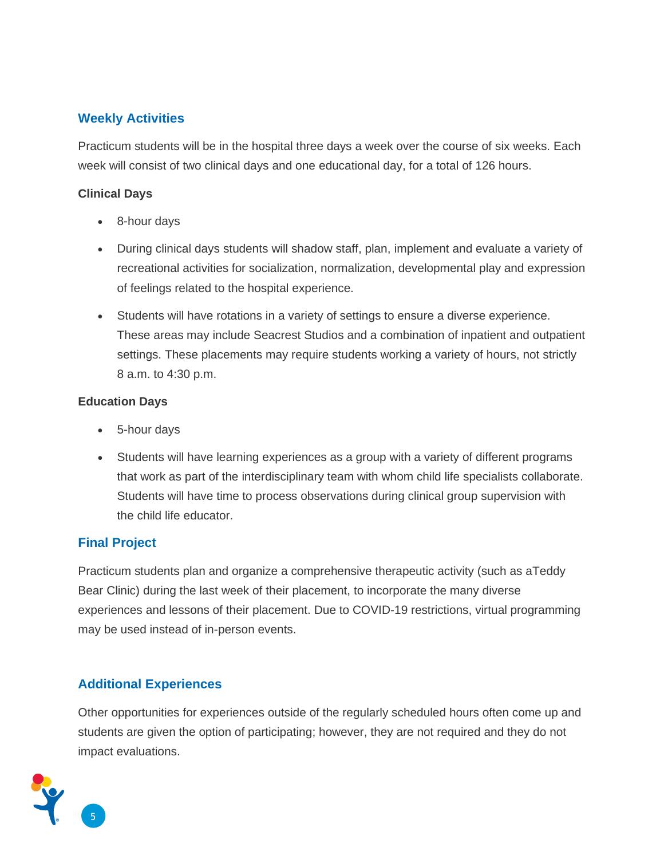#### **Weekly Activities**

Practicum students will be in the hospital three days a week over the course of six weeks. Each week will consist of two clinical days and one educational day, for a total of 126 hours.

#### **Clinical Days**

- 8-hour days
- During clinical days students will shadow staff, plan, implement and evaluate a variety of recreational activities for socialization, normalization, developmental play and expression of feelings related to the hospital experience.
- Students will have rotations in a variety of settings to ensure a diverse experience. These areas may include Seacrest Studios and a combination of inpatient and outpatient settings. These placements may require students working a variety of hours, not strictly 8 a.m. to 4:30 p.m.

#### **Education Days**

- 5-hour days
- Students will have learning experiences as a group with a variety of different programs that work as part of the interdisciplinary team with whom child life specialists collaborate. Students will have time to process observations during clinical group supervision with the child life educator.

#### **Final Project**

Practicum students plan and organize a comprehensive therapeutic activity (such as aTeddy Bear Clinic) during the last week of their placement, to incorporate the many diverse experiences and lessons of their placement. Due to COVID-19 restrictions, virtual programming may be used instead of in-person events.

#### **Additional Experiences**

Other opportunities for experiences outside of the regularly scheduled hours often come up and students are given the option of participating; however, they are not required and they do not impact evaluations.

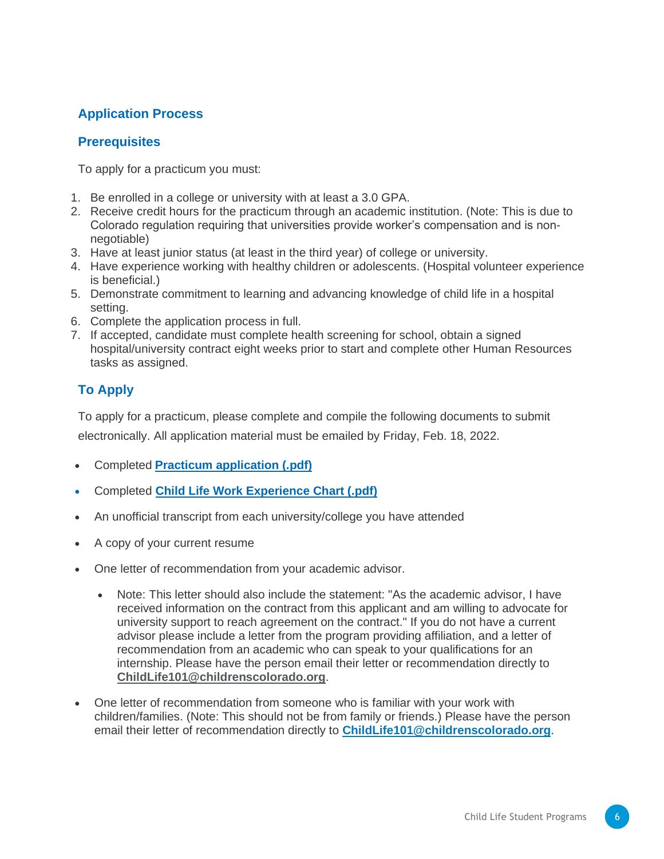#### **Application Process**

#### **Prerequisites**

To apply for a practicum you must:

- 1. Be enrolled in a college or university with at least a 3.0 GPA.
- 2. Receive credit hours for the practicum through an academic institution. (Note: This is due to Colorado regulation requiring that universities provide worker's compensation and is nonnegotiable)
- 3. Have at least junior status (at least in the third year) of college or university.
- 4. Have experience working with healthy children or adolescents. (Hospital volunteer experience is beneficial.)
- 5. Demonstrate commitment to learning and advancing knowledge of child life in a hospital setting.
- 6. Complete the application process in full.
- 7. If accepted, candidate must complete health screening for school, obtain a signed hospital/university contract eight weeks prior to start and complete other Human Resources tasks as assigned.

#### **To Apply**

To apply for a practicum, please complete and compile the following documents to submit electronically. All application material must be emailed by Friday, Feb. 18, 2022.

- Completed **[Practicum application \(.pdf\)](https://www.childrenscolorado.org/498c7d/globalassets/departments/child-life/child-life-practicum-application.pdf)**
- Completed **[Child Life Work Experience Chart \(.pdf\)](https://www.childrenscolorado.org/498c7d/globalassets/departments/child-life/child-life-practicum-application-work-experience-chart.pdf)**
- An unofficial transcript from each university/college you have attended
- A copy of your current resume
- One letter of recommendation from your academic advisor.
	- Note: This letter should also include the statement: "As the academic advisor, I have received information on the contract from this applicant and am willing to advocate for university support to reach agreement on the contract." If you do not have a current advisor please include a letter from the program providing affiliation, and a letter of recommendation from an academic who can speak to your qualifications for an internship. Please have the person email their letter or recommendation directly to **[ChildLife101@childrenscolorado.org](mailto:ChildLife101@childrenscolorado.org)**.
- One letter of recommendation from someone who is familiar with your work with children/families. (Note: This should not be from family or friends.) Please have the person email their letter of recommendation directly to **[ChildLife101@childrenscolorado.org](mailto:ChildLife101@childrenscolorado.org)**.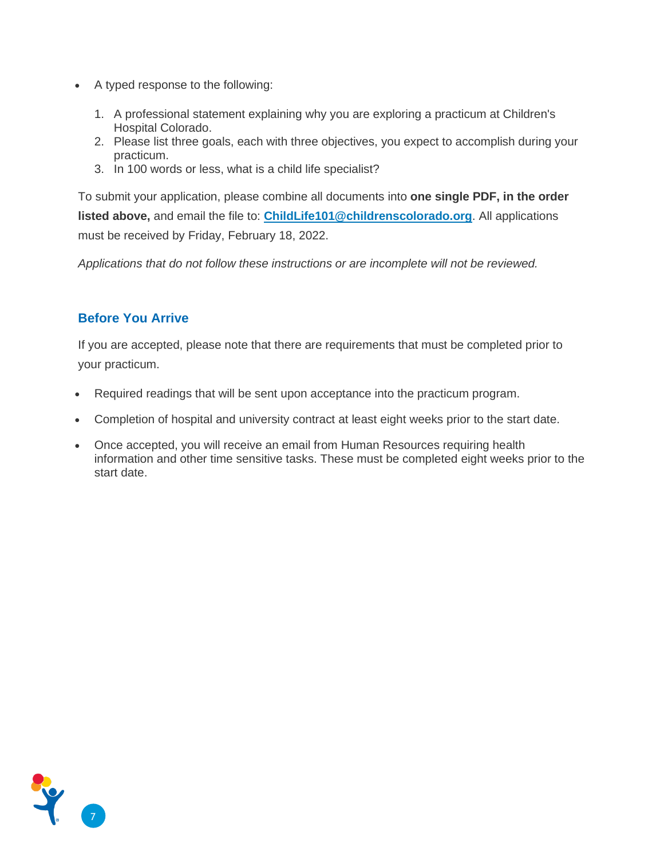- A typed response to the following:
	- 1. A professional statement explaining why you are exploring a practicum at Children's Hospital Colorado.
	- 2. Please list three goals, each with three objectives, you expect to accomplish during your practicum.
	- 3. In 100 words or less, what is a child life specialist?

To submit your application, please combine all documents into **one single PDF, in the order listed above,** and email the file to: **[ChildLife101@childrenscolorado.org](mailto:ChildLife101@childrenscolorado.org)**. All applications must be received by Friday, February 18, 2022.

*Applications that do not follow these instructions or are incomplete will not be reviewed.*

#### **Before You Arrive**

If you are accepted, please note that there are requirements that must be completed prior to your practicum.

- Required readings that will be sent upon acceptance into the practicum program.
- Completion of hospital and university contract at least eight weeks prior to the start date.
- Once accepted, you will receive an email from Human Resources requiring health information and other time sensitive tasks. These must be completed eight weeks prior to the start date.

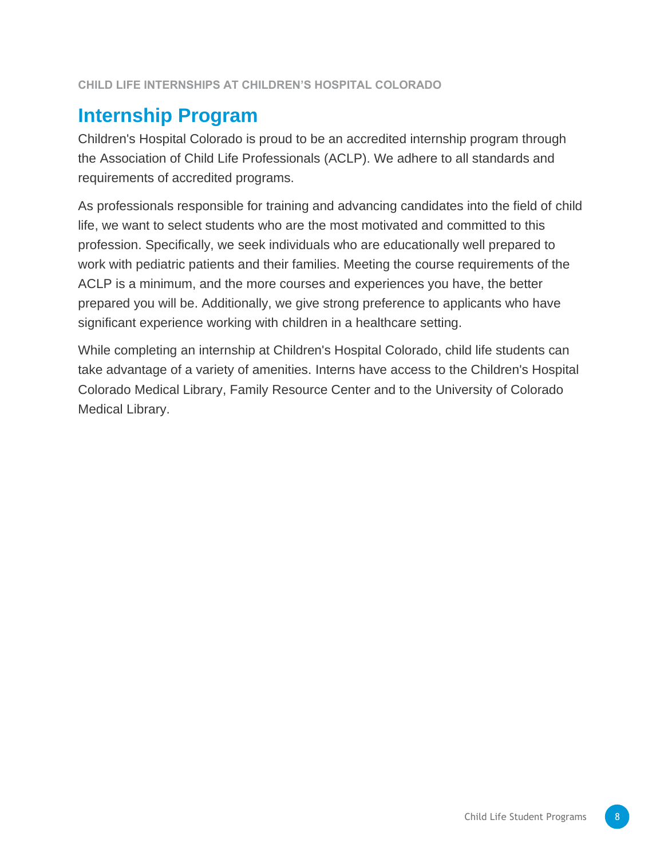# **Internship Program**

Children's Hospital Colorado is proud to be an accredited internship program through the Association of Child Life Professionals (ACLP). We adhere to all standards and requirements of accredited programs.

As professionals responsible for training and advancing candidates into the field of child life, we want to select students who are the most motivated and committed to this profession. Specifically, we seek individuals who are educationally well prepared to work with pediatric patients and their families. Meeting the course requirements of the ACLP is a minimum, and the more courses and experiences you have, the better prepared you will be. Additionally, we give strong preference to applicants who have significant experience working with children in a healthcare setting.

While completing an internship at Children's Hospital Colorado, child life students can take advantage of a variety of amenities. Interns have access to the Children's Hospital Colorado Medical Library, Family Resource Center and to the University of Colorado Medical Library.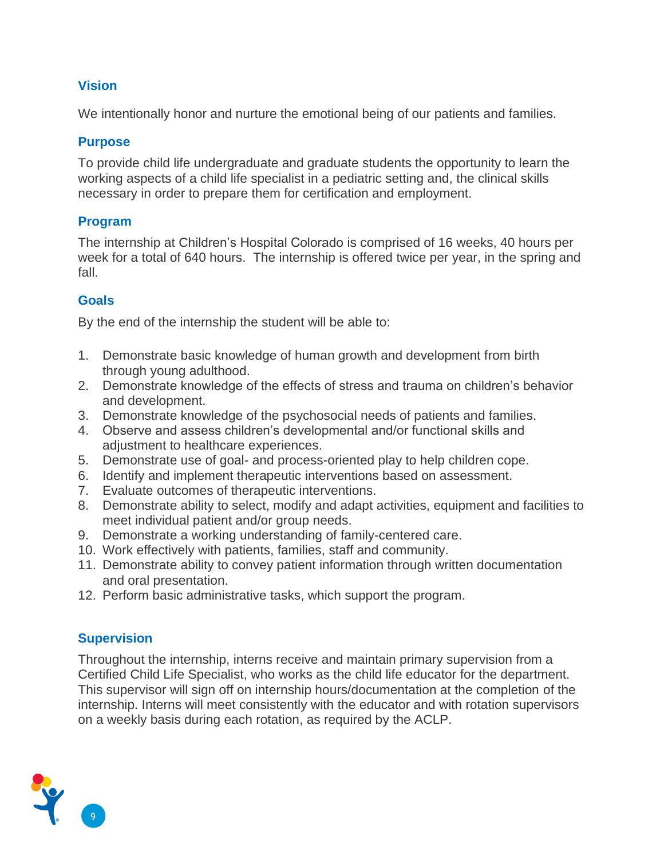#### **Vision**

We intentionally honor and nurture the emotional being of our patients and families.

#### **Purpose**

To provide child life undergraduate and graduate students the opportunity to learn the working aspects of a child life specialist in a pediatric setting and, the clinical skills necessary in order to prepare them for certification and employment.

#### **Program**

The internship at Children's Hospital Colorado is comprised of 16 weeks, 40 hours per week for a total of 640 hours. The internship is offered twice per year, in the spring and fall.

#### **Goals**

By the end of the internship the student will be able to:

- 1. Demonstrate basic knowledge of human growth and development from birth through young adulthood.
- 2. Demonstrate knowledge of the effects of stress and trauma on children's behavior and development.
- 3. Demonstrate knowledge of the psychosocial needs of patients and families.
- 4. Observe and assess children's developmental and/or functional skills and adjustment to healthcare experiences.
- 5. Demonstrate use of goal- and process-oriented play to help children cope.
- 6. Identify and implement therapeutic interventions based on assessment.
- 7. Evaluate outcomes of therapeutic interventions.
- 8. Demonstrate ability to select, modify and adapt activities, equipment and facilities to meet individual patient and/or group needs.
- 9. Demonstrate a working understanding of family-centered care.
- 10. Work effectively with patients, families, staff and community.
- 11. Demonstrate ability to convey patient information through written documentation and oral presentation.
- 12. Perform basic administrative tasks, which support the program.

#### **Supervision**

Throughout the internship, interns receive and maintain primary supervision from a Certified Child Life Specialist, who works as the child life educator for the department. This supervisor will sign off on internship hours/documentation at the completion of the internship. Interns will meet consistently with the educator and with rotation supervisors on a weekly basis during each rotation, as required by the ACLP.

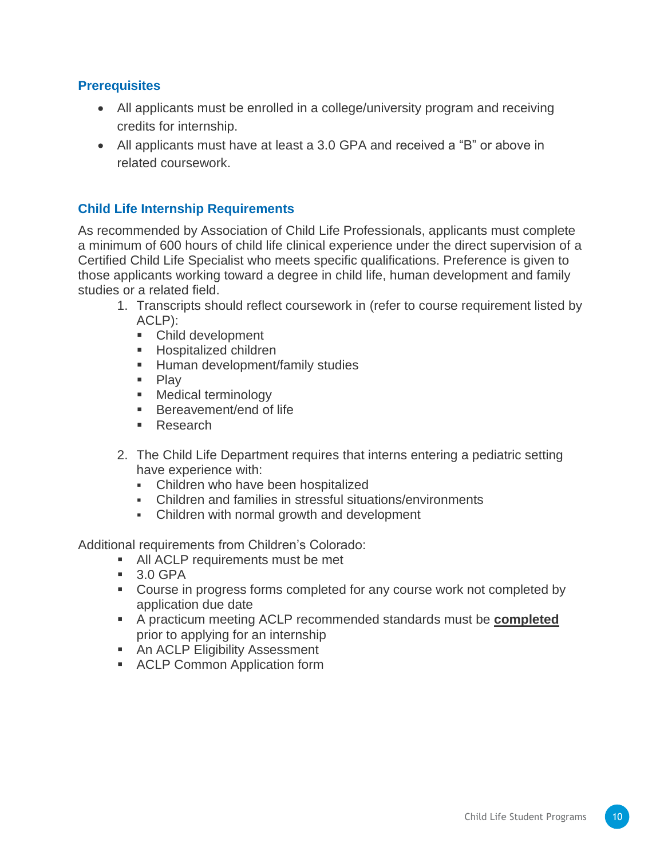#### **Prerequisites**

- All applicants must be enrolled in a college/university program and receiving credits for internship.
- All applicants must have at least a 3.0 GPA and received a "B" or above in related coursework.

#### **Child Life Internship Requirements**

As recommended by Association of Child Life Professionals, applicants must complete a minimum of 600 hours of child life clinical experience under the direct supervision of a Certified Child Life Specialist who meets specific qualifications. Preference is given to those applicants working toward a degree in child life, human development and family studies or a related field.

- 1. Transcripts should reflect coursework in (refer to course requirement listed by ACLP):
	- Child development
	- **E** Hospitalized children
	- **E** Human development/family studies
	- Play
	- Medical terminology
	- Bereavement/end of life
	- Research
- 2. The Child Life Department requires that interns entering a pediatric setting have experience with:
	- **Children who have been hospitalized**
	- Children and families in stressful situations/environments
	- Children with normal growth and development

Additional requirements from Children's Colorado:

- All ACLP requirements must be met
- 3.0 GPA
- Course in progress forms completed for any course work not completed by application due date
- A practicum meeting ACLP recommended standards must be **completed** prior to applying for an internship
- An ACLP Eligibility Assessment
- ACLP Common Application form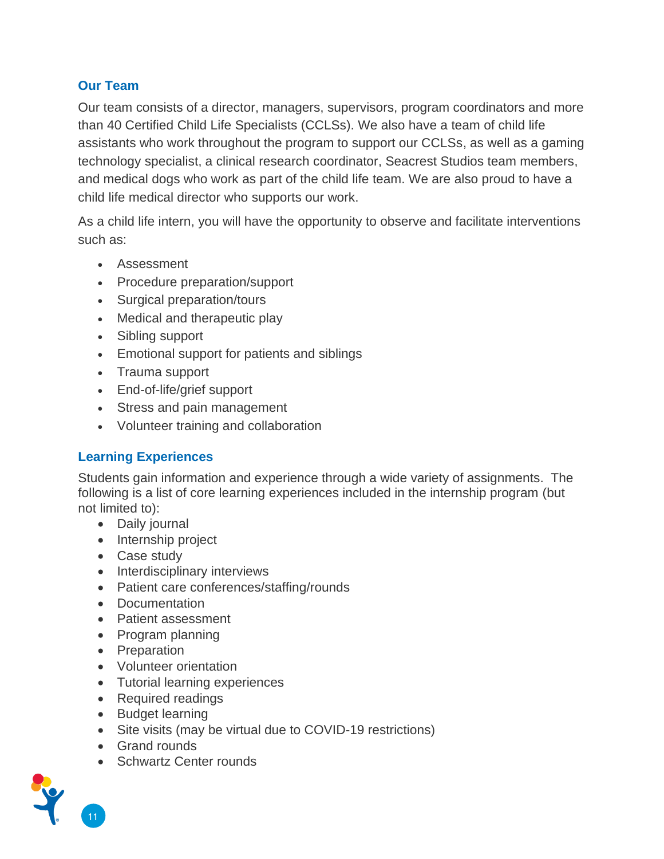#### **Our Team**

Our team consists of a director, managers, supervisors, program coordinators and more than 40 Certified Child Life Specialists (CCLSs). We also have a team of child life assistants who work throughout the program to support our CCLSs, as well as a gaming technology specialist, a clinical research coordinator, Seacrest Studios team members, and medical dogs who work as part of the child life team. We are also proud to have a child life medical director who supports our work.

As a child life intern, you will have the opportunity to observe and facilitate interventions such as:

- Assessment
- Procedure preparation/support
- Surgical preparation/tours
- Medical and therapeutic play
- Sibling support
- Emotional support for patients and siblings
- Trauma support
- End-of-life/grief support
- Stress and pain management
- Volunteer training and collaboration

#### **Learning Experiences**

Students gain information and experience through a wide variety of assignments. The following is a list of core learning experiences included in the internship program (but not limited to):

- Daily journal
- Internship project
- Case study
- Interdisciplinary interviews
- Patient care conferences/staffing/rounds
- Documentation
- Patient assessment
- Program planning
- Preparation
- Volunteer orientation
- Tutorial learning experiences
- Required readings
- Budget learning
- Site visits (may be virtual due to COVID-19 restrictions)
- Grand rounds
- Schwartz Center rounds



11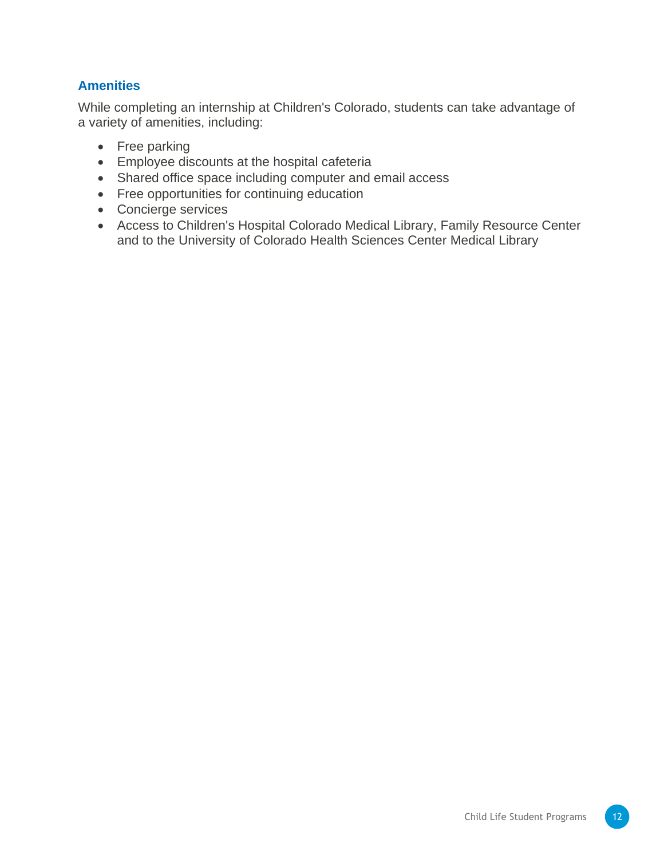#### **Amenities**

While completing an internship at Children's Colorado, students can take advantage of a variety of amenities, including:

- Free parking
- Employee discounts at the hospital cafeteria
- Shared office space including computer and email access
- Free opportunities for continuing education
- Concierge services
- Access to Children's Hospital Colorado Medical Library, Family Resource Center and to the University of Colorado Health Sciences Center Medical Library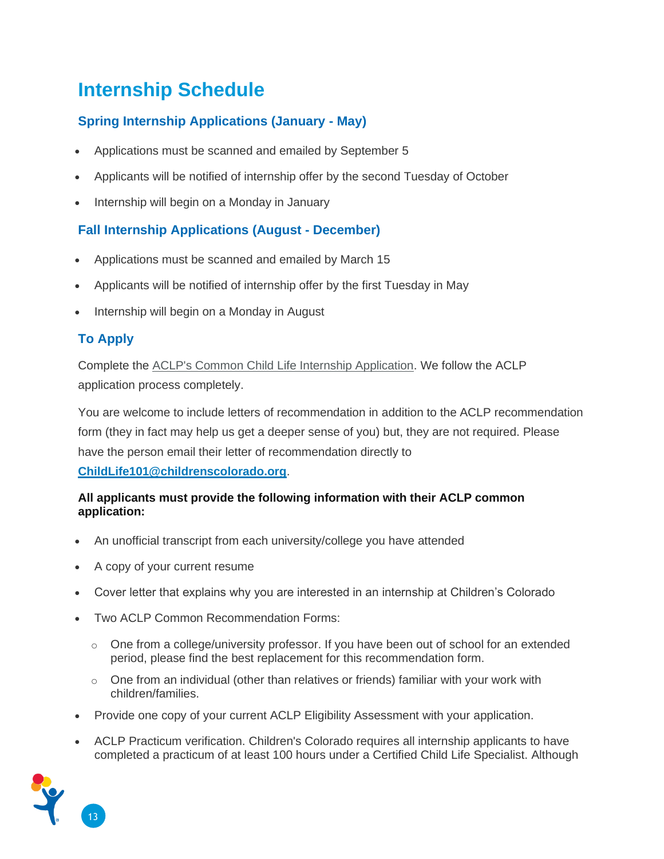# **Internship Schedule**

#### **Spring Internship Applications (January - May)**

- Applications must be scanned and emailed by September 5
- Applicants will be notified of internship offer by the second Tuesday of October
- Internship will begin on a Monday in January

#### **Fall Internship Applications (August - December)**

- Applications must be scanned and emailed by March 15
- Applicants will be notified of internship offer by the first Tuesday in May
- Internship will begin on a Monday in August

#### **To Apply**

Complete the [ACLP's Common Child Life Internship Application.](https://www.childlife.org/certification/certification-resources/internship-deadlines) We follow the ACLP application process completely.

You are welcome to include letters of recommendation in addition to the ACLP recommendation form (they in fact may help us get a deeper sense of you) but, they are not required. Please have the person email their letter of recommendation directly to

**[ChildLife101@childrenscolorado.org](mailto:ChildLife101@childrenscolorado.org)**.

#### **All applicants must provide the following information with their ACLP common application:**

- An unofficial transcript from each university/college you have attended
- A copy of your current resume
- Cover letter that explains why you are interested in an internship at Children's Colorado
- Two ACLP Common Recommendation Forms:
	- $\circ$  One from a college/university professor. If you have been out of school for an extended period, please find the best replacement for this recommendation form.
	- $\circ$  One from an individual (other than relatives or friends) familiar with your work with children/families.
- Provide one copy of your current ACLP Eligibility Assessment with your application.
- ACLP Practicum verification. Children's Colorado requires all internship applicants to have completed a practicum of at least 100 hours under a Certified Child Life Specialist. Although

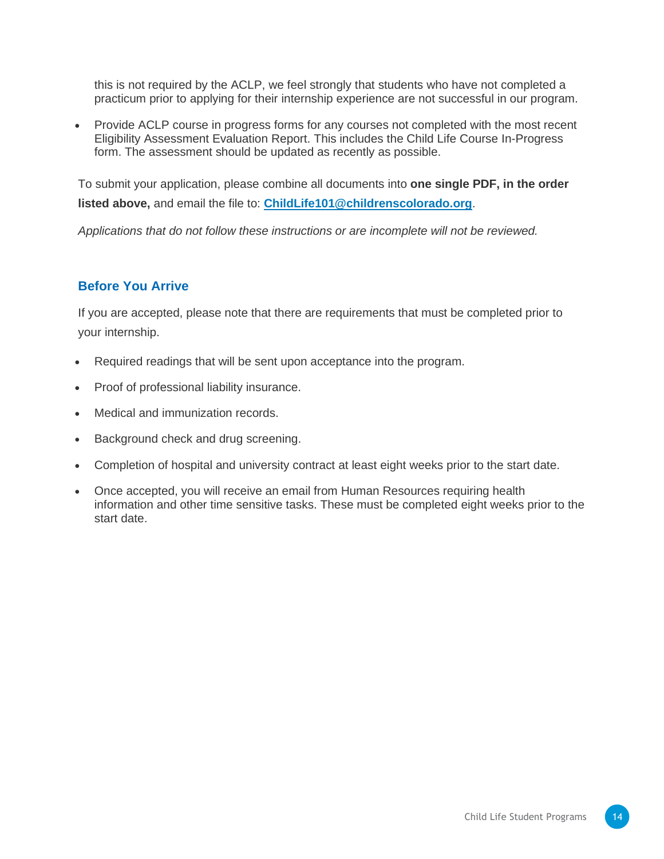this is not required by the ACLP, we feel strongly that students who have not completed a practicum prior to applying for their internship experience are not successful in our program.

• Provide ACLP course in progress forms for any courses not completed with the most recent Eligibility Assessment Evaluation Report. This includes the Child Life Course In-Progress form. The assessment should be updated as recently as possible.

To submit your application, please combine all documents into **one single PDF, in the order listed above,** and email the file to: **[ChildLife101@childrenscolorado.org](mailto:ChildLife101@childrenscolorado.org)**.

*Applications that do not follow these instructions or are incomplete will not be reviewed.*

#### **Before You Arrive**

If you are accepted, please note that there are requirements that must be completed prior to your internship.

- Required readings that will be sent upon acceptance into the program.
- Proof of professional liability insurance.
- Medical and immunization records.
- Background check and drug screening.
- Completion of hospital and university contract at least eight weeks prior to the start date.
- Once accepted, you will receive an email from Human Resources requiring health information and other time sensitive tasks. These must be completed eight weeks prior to the start date.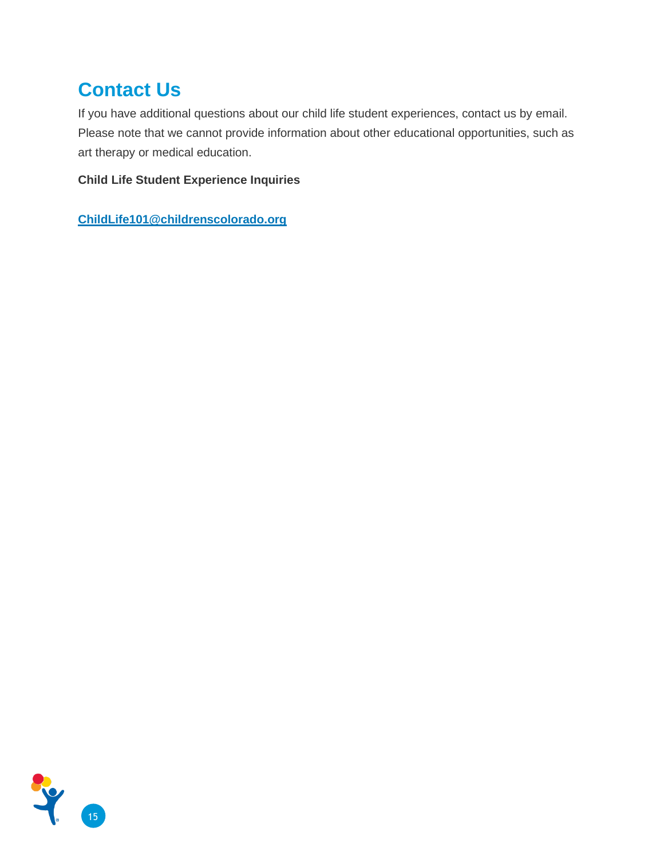# **Contact Us**

If you have additional questions about our child life student experiences, contact us by email. Please note that we cannot provide information about other educational opportunities, such as art therapy or medical education.

**Child Life Student Experience Inquiries**

**[ChildLife101@childrenscolorado.org](mailto:childlife101@childrenscolorado.org)**